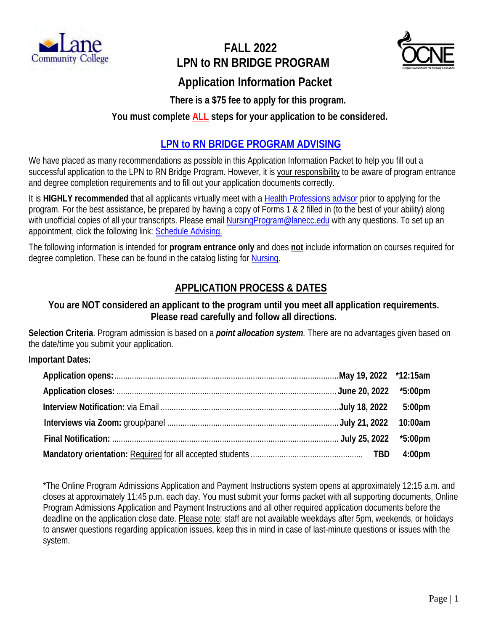

# **FALL 2022 LPN to RN BRIDGE PROGRAM**



# **Application Information Packet**

 **There is a \$75 fee to apply for this program.**

## **You must complete ALL steps for your application to be considered.**

## **LPN to RN BRIDGE [PROGRAM ADVISING](https://www.lanecc.edu/advising/advisors)**

We have placed as many recommendations as possible in this Application Information Packet to help you fill out a successful application to the LPN to RN Bridge Program. However, it is your responsibility to be aware of program entrance and degree completion requirements and to fill out your application documents correctly.

It is **HIGHLY recommended** that all applicants virtually meet with a [Health Professions advisor](https://lanecc.navigate.eab.com/app/#/authentication/remote/) prior to applying for the program. For the best assistance, be prepared by having a copy of Forms 1 & 2 filled in (to the best of your ability) along with unofficial copies of all your transcripts. Please email [NursingProgram@lanecc.edu](mailto:NursingProgram@lanecc.edu) with any questions. To set up an appointment, click the following link: **Schedule Advising.** 

The following information is intended for **program entrance only** and does **not** include information on courses required for degree completion. These can be found in the catalog listing for [Nursing.](https://catalog.lanecc.edu/preview_program.php?catoid=11&poid=1076&returnto=783)

## **APPLICATION PROCESS & DATES**

## **You are NOT considered an applicant to the program until you meet all application requirements. Please read carefully and follow all directions.**

**Selection Criteria**. Program admission is based on a *point allocation system.* There are no advantages given based on the date/time you submit your application.

#### **Important Dates:**

\*The Online Program Admissions Application and Payment Instructions system opens at approximately 12:15 a.m. and closes at approximately 11:45 p.m. each day. You must submit your forms packet with all supporting documents, Online Program Admissions Application and Payment Instructions and all other required application documents before the deadline on the application close date. Please note: staff are not available weekdays after 5pm, weekends, or holidays to answer questions regarding application issues, keep this in mind in case of last-minute questions or issues with the system.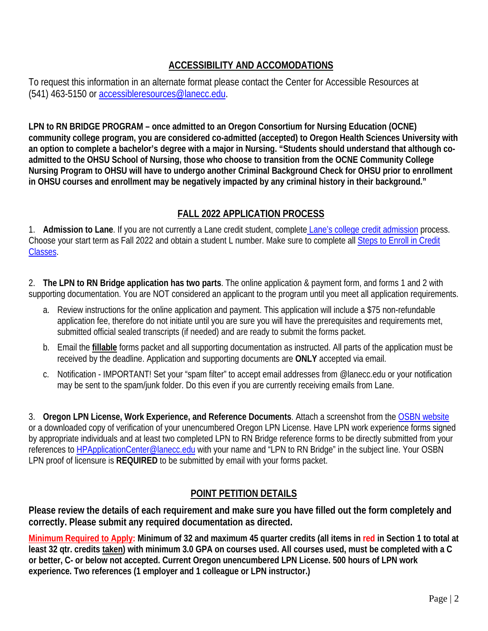## **ACCESSIBILITY AND ACCOMODATIONS**

To request this information in an alternate format please contact the Center for Accessible Resources at (541) 463-5150 or [accessibleresources@lanecc.edu.](mailto:accessibleresources@lanecc.edu)

**LPN to RN BRIDGE PROGRAM – once admitted to an Oregon Consortium for Nursing Education (OCNE) community college program, you are considered co-admitted (accepted) to Oregon Health Sciences University with an option to complete a bachelor's degree with a major in Nursing. "Students should understand that although coadmitted to the OHSU School of Nursing, those who choose to transition from the OCNE Community College Nursing Program to OHSU will have to undergo another Criminal Background Check for OHSU prior to enrollment in OHSU courses and enrollment may be negatively impacted by any criminal history in their background."** 

## **FALL 2022 APPLICATION PROCESS**

1. **Admission to Lane**. If you are not currently a Lane credit student, complete [Lane's college credit admission](https://www.lanecc.edu/apply) process. Choose your start term as Fall 2022 and obtain a student L number. Make sure to complete all [Steps to Enroll in Credit](https://www.lanecc.edu/admissions/steps-enroll)  [Classes.](https://www.lanecc.edu/admissions/steps-enroll)

2. **The LPN to RN Bridge application has two parts**. The online application & payment form, and forms 1 and 2 with supporting documentation. You are NOT considered an applicant to the program until you meet all application requirements.

- a. Review instructions for the online application and payment. This application will include a \$75 non-refundable application fee, therefore do not initiate until you are sure you will have the prerequisites and requirements met, submitted official sealed transcripts (if needed) and are ready to submit the forms packet.
- b. Email the **fillable** forms packet and all supporting documentation as instructed. All parts of the application must be received by the deadline. Application and supporting documents are **ONLY** accepted via email.
- c. Notification IMPORTANT! Set your "spam filter" to accept email addresses from @lanecc.edu or your notification may be sent to the spam/junk folder. Do this even if you are currently receiving emails from Lane.

3. **Oregon LPN License, Work Experience, and Reference Documents**. Attach a screenshot from th[e OSBN website](https://osbn.oregon.gov/OSBNVerification/Default.aspx)  or a downloaded copy of verification of your unencumbered Oregon LPN License. Have LPN work experience forms signed by appropriate individuals and at least two completed LPN to RN Bridge reference forms to be directly submitted from your references to [HPApplicationCenter@lanecc.edu](mailto:hpapplicationcenter@lanecc.edu) with your name and "LPN to RN Bridge" in the subject line. Your OSBN LPN proof of licensure is **REQUIRED** to be submitted by email with your forms packet.

## **POINT PETITION DETAILS**

**Please review the details of each requirement and make sure you have filled out the form completely and correctly. Please submit any required documentation as directed.**

**Minimum Required to Apply: Minimum of 32 and maximum 45 quarter credits (all items in red in Section 1 to total at least 32 qtr. credits taken) with minimum 3.0 GPA on courses used. All courses used, must be completed with a C or better, C- or below not accepted. Current Oregon unencumbered LPN License. 500 hours of LPN work experience. Two references (1 employer and 1 colleague or LPN instructor.)**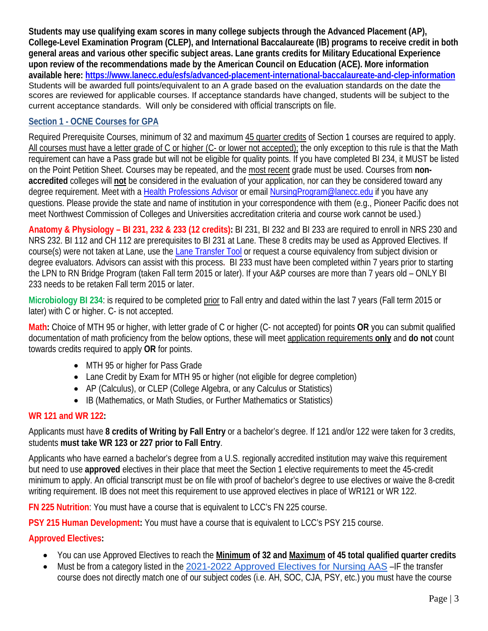**Students may use qualifying exam scores in many college subjects through the Advanced Placement (AP), College-Level Examination Program (CLEP), and International Baccalaureate (IB) programs to receive credit in both general areas and various other specific subject areas. Lane grants credits for Military Educational Experience upon review of the recommendations made by the American Council on Education (ACE). More information available here:<https://www.lanecc.edu/esfs/advanced-placement-international-baccalaureate-and-clep-information>** Students will be awarded full points/equivalent to an A grade based on the evaluation standards on the date the scores are reviewed for applicable courses. If acceptance standards have changed, students will be subject to the current acceptance standards. Will only be considered with official transcripts on file.

### **Section 1 - OCNE Courses for GPA**

Required Prerequisite Courses, minimum of 32 and maximum 45 quarter credits of Section 1 courses are required to apply. All courses must have a letter grade of C or higher (C- or lower not accepted); the only exception to this rule is that the Math requirement can have a Pass grade but will not be eligible for quality points. If you have completed BI 234, it MUST be listed on the Point Petition Sheet. Courses may be repeated, and the most recent grade must be used. Courses from **nonaccredited** colleges will **not** be considered in the evaluation of your application, nor can they be considered toward any degree requirement. Meet with a [Health Professions Advisor](https://lanecc.navigate.eab.com/app/#/authentication/remote/) or email [NursingProgram@lanecc.edu](mailto:NursingProgram@lanecc.edu) if you have any questions. Please provide the state and name of institution in your correspondence with them (e.g., Pioneer Pacific does not meet Northwest Commission of Colleges and Universities accreditation criteria and course work cannot be used.)

**Anatomy & Physiology – BI 231, 232 & 233 (12 credits):** BI 231, BI 232 and BI 233 are required to enroll in NRS 230 and NRS 232. BI 112 and CH 112 are prerequisites to BI 231 at Lane. These 8 credits may be used as Approved Electives. If course(s) were not taken at Lane, use the [Lane Transfer Tool](https://dn01.lanecc.edu/transfer/) or request a course equivalency from subject division or degree evaluators. Advisors can assist with this process**.** BI 233 must have been completed within 7 years prior to starting the LPN to RN Bridge Program (taken Fall term 2015 or later). If your A&P courses are more than 7 years old – ONLY BI 233 needs to be retaken Fall term 2015 or later.

**Microbiology BI 234**: is required to be completed prior to Fall entry and dated within the last 7 years (Fall term 2015 or later) with C or higher. C- is not accepted.

**Math:** Choice of MTH 95 or higher, with letter grade of C or higher (C- not accepted) for points **OR** you can submit qualified documentation of math proficiency from the below options, these will meet application requirements **only** and **do not** count towards credits required to apply **OR** for points.

- MTH 95 or higher for Pass Grade
- Lane Credit by Exam for MTH 95 or higher (not eligible for degree completion)
- AP (Calculus), or CLEP (College Algebra, or any Calculus or Statistics)
- IB (Mathematics, or Math Studies, or Further Mathematics or Statistics)

#### **WR 121 and WR 122:**

Applicants must have **8 credits of Writing by Fall Entry** or a bachelor's degree. If 121 and/or 122 were taken for 3 credits, students **must take WR 123 or 227 prior to Fall Entry**.

Applicants who have earned a bachelor's degree from a U.S. regionally accredited institution may waive this requirement but need to use **approved** electives in their place that meet the Section 1 elective requirements to meet the 45-credit minimum to apply. An official transcript must be on file with proof of bachelor's degree to use electives or waive the 8-credit writing requirement. IB does not meet this requirement to use approved electives in place of WR121 or WR 122.

**FN 225 Nutrition**: You must have a course that is equivalent to LCC's FN 225 course.

**PSY 215 Human Development:** You must have a course that is equivalent to LCC's PSY 215 course.

#### **Approved Electives:**

- You can use Approved Electives to reach the **Minimum of 32 and Maximum of 45 total qualified quarter credits**
- Must be from a category listed in the [2021-2022 Approved Electives for Nursing AAS](https://catalog.lanecc.edu/preview_program.php?catoid=11&poid=1076&hl=AAS+Nursing&returnto=search) –IF the transfer course does not directly match one of our subject codes (i.e. AH, SOC, CJA, PSY, etc.) you must have the course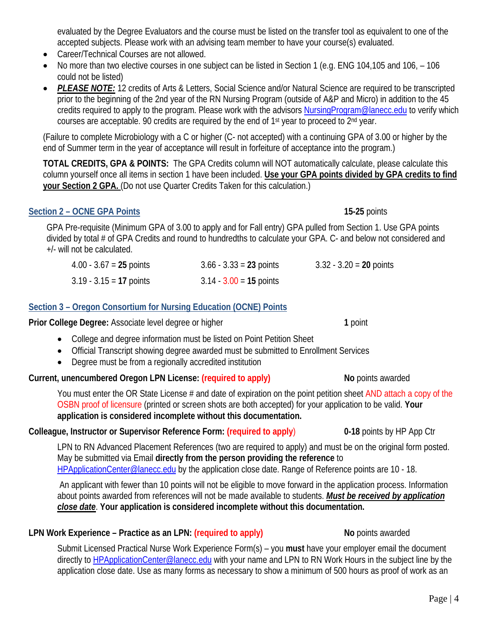evaluated by the Degree Evaluators and the course must be listed on the transfer tool as equivalent to one of the accepted subjects. Please work with an advising team member to have your course(s) evaluated.

- Career/Technical Courses are not allowed.
- No more than two elective courses in one subject can be listed in Section 1 (e.g. ENG 104,105 and 106, 106 could not be listed)
- *PLEASE NOTE:* 12 credits of Arts & Letters, Social Science and/or Natural Science are required to be transcripted prior to the beginning of the 2nd year of the RN Nursing Program (outside of A&P and Micro) in addition to the 45 credits required to apply to the program. Please work with the advisors [NursingProgram@lanecc.edu](mailto:NursingProgram@lanecc.edu) to verify which courses are acceptable. 90 credits are required by the end of  $1<sup>st</sup>$  year to proceed to  $2<sup>nd</sup>$  year.

(Failure to complete Microbiology with a C or higher (C- not accepted) with a continuing GPA of 3.00 or higher by the end of Summer term in the year of acceptance will result in forfeiture of acceptance into the program.)

**TOTAL CREDITS, GPA & POINTS:** The GPA Credits column will NOT automatically calculate, please calculate this column yourself once all items in section 1 have been included. **Use your GPA points divided by GPA credits to find your Section 2 GPA.** (Do not use Quarter Credits Taken for this calculation.)

#### **Section 2 – OCNE GPA Points** 15-25 points

GPA Pre-requisite (Minimum GPA of 3.00 to apply and for Fall entry) GPA pulled from Section 1. Use GPA points divided by total # of GPA Credits and round to hundredths to calculate your GPA. C- and below not considered and +/- will not be calculated.

| $4.00 - 3.67 = 25$ points | $3.66 - 3.33 = 23$ points | $3.32 - 3.20 = 20$ points |
|---------------------------|---------------------------|---------------------------|
| $3.19 - 3.15 = 17$ points | $3.14 - 3.00 = 15$ points |                           |

#### **Section 3 – Oregon Consortium for Nursing Education (OCNE) Points**

**Prior College Degree:** Associate level degree or higher **1** point

- College and degree information must be listed on Point Petition Sheet
- Official Transcript showing degree awarded must be submitted to Enrollment Services
- Degree must be from a regionally accredited institution

#### **Current, unencumbered Oregon LPN License: (required to apply)** No points awarded

You must enter the OR State License # and date of expiration on the point petition sheet AND attach a copy of the OSBN proof of licensure (printed or screen shots are both accepted) for your application to be valid. **Your application is considered incomplete without this documentation.**

#### **Colleague, Instructor or Supervisor Reference Form: (required to apply**) **0-18** points by HP App Ctr

LPN to RN Advanced Placement References (two are required to apply) and must be on the original form posted. May be submitted via Email **directly from the person providing the reference** to [HPApplicationCenter@lanecc.edu](mailto:hpapplicationcenter@lanecc.edu) by the application close date. Range of Reference points are 10 - 18.

An applicant with fewer than 10 points will not be eligible to move forward in the application process. Information about points awarded from references will not be made available to students. *Must be received by application close date*. **Your application is considered incomplete without this documentation.**

## **LPN Work Experience – Practice as an LPN: (required to apply)** No points awarded

Submit Licensed Practical Nurse Work Experience Form(s) – you **must** have your employer email the document directly to **HPApplicationCenter@lanecc.edu** with your name and LPN to RN Work Hours in the subject line by the application close date. Use as many forms as necessary to show a minimum of 500 hours as proof of work as an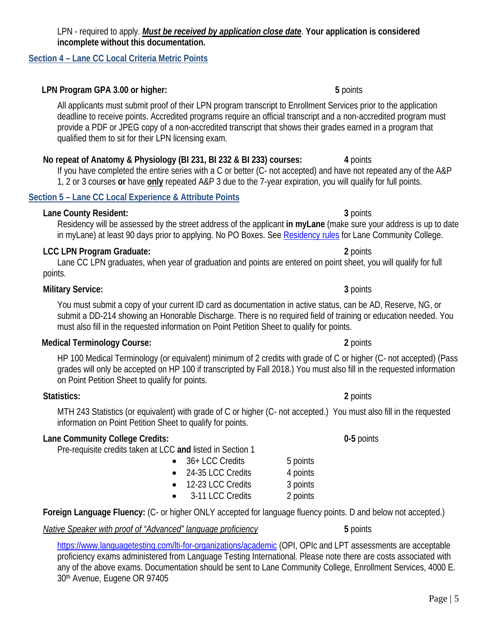#### LPN - required to apply. *Must be received by application close date*. **Your application is considered incomplete without this documentation.**

#### **Section 4 – Lane CC Local Criteria Metric Points**

### **LPN Program GPA 3.00 or higher: 5** points

All applicants must submit proof of their LPN program transcript to Enrollment Services prior to the application deadline to receive points. Accredited programs require an official transcript and a non-accredited program must provide a PDF or JPEG copy of a non-accredited transcript that shows their grades earned in a program that qualified them to sit for their LPN licensing exam.

## **No repeat of Anatomy & Physiology (BI 231, BI 232 & BI 233) courses: 4** points

If you have completed the entire series with a C or better (C- not accepted) and have not repeated any of the A&P 1, 2 or 3 courses **or** have **only** repeated A&P 3 due to the 7-year expiration, you will qualify for full points.

#### **Section 5 – Lane CC Local Experience & Attribute Points**

### **Lane County Resident: 3** points

### Residency will be assessed by the street address of the applicant **in myLane** (make sure your address is up to date in myLane) at least 90 days prior to applying. No PO Boxes. See [Residency rules](https://www.lanecc.edu/esfs/residency) for Lane Community College.

#### **LCC LPN Program Graduate: 2** points

#### Lane CC LPN graduates, when year of graduation and points are entered on point sheet, you will qualify for full points.

#### **Military Service: 3** points

You must submit a copy of your current ID card as documentation in active status, can be AD, Reserve, NG, or submit a DD-214 showing an Honorable Discharge. There is no required field of training or education needed. You must also fill in the requested information on Point Petition Sheet to qualify for points.

#### **Medical Terminology Course: 2** points

HP 100 Medical Terminology (or equivalent) minimum of 2 credits with grade of C or higher (C- not accepted) (Pass grades will only be accepted on HP 100 if transcripted by Fall 2018.) You must also fill in the requested information on Point Petition Sheet to qualify for points.

#### **Statistics: 2** points

MTH 243 Statistics (or equivalent) with grade of C or higher (C- not accepted.) You must also fill in the requested information on Point Petition Sheet to qualify for points.

## **Lane Community College Credits: 0-5** points

Pre-requisite credits taken at LCC **and** listed in Section 1

- 36+ LCC Credits 5 points 24-35 LCC Credits 4 points • 12-23 LCC Credits 3 points
- 3-11 LCC Credits 2 points

**Foreign Language Fluency:** (C- or higher ONLY accepted for language fluency points. D and below not accepted.)

*Native Speaker with proof of "Advanced" language proficiency* **5** points

<https://www.languagetesting.com/lti-for-organizations/academic> (OPI, OPIc and LPT assessments are acceptable proficiency exams administered from Language Testing International. Please note there are costs associated with any of the above exams. Documentation should be sent to Lane Community College, Enrollment Services, 4000 E. 30th Avenue, Eugene OR 97405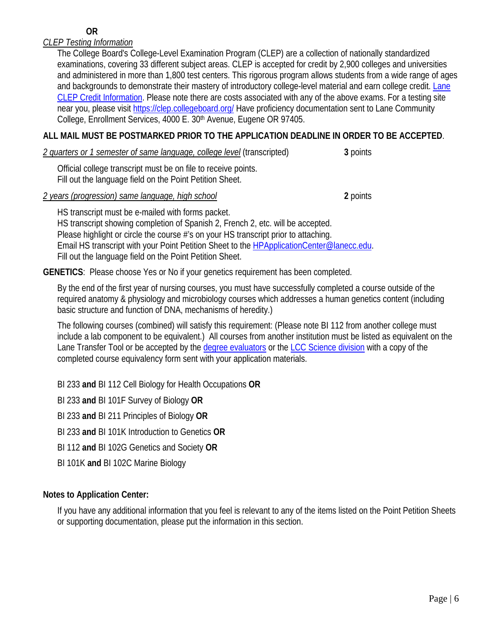#### **OR**

#### *CLEP Testing Information*

The College Board's College-Level Examination Program (CLEP) are a collection of nationally standardized examinations, covering 33 different subject areas. CLEP is accepted for credit by 2,900 colleges and universities and administered in more than 1,800 test centers. This rigorous program allows students from a wide range of ages and backgrounds to demonstrate their mastery of introductory college-level material and earn college credit. Lane [CLEP Credit Information.](https://www.lanecc.edu/collegecatalog/advanced-placement-international-baccalaureate-and-clep-information) Please note there are costs associated with any of the above exams. For a testing site near you, please visit<https://clep.collegeboard.org/> Have proficiency documentation sent to Lane Community College, Enrollment Services, 4000 E. 30<sup>th</sup> Avenue, Eugene OR 97405.

#### **ALL MAIL MUST BE POSTMARKED PRIOR TO THE APPLICATION DEADLINE IN ORDER TO BE ACCEPTED**.

*2 quarters or 1 semester of same language, college level* (transcripted) **3** points

Official college transcript must be on file to receive points. Fill out the language field on the Point Petition Sheet.

*2 years (progression) same language, high school* **2** points

HS transcript must be e-mailed with forms packet. HS transcript showing completion of Spanish 2, French 2, etc. will be accepted. Please highlight or circle the course #'s on your HS transcript prior to attaching. Email HS transcript with your Point Petition Sheet to the **HPApplicationCenter@lanecc.edu**. Fill out the language field on the Point Petition Sheet.

**GENETICS**: Please choose Yes or No if your genetics requirement has been completed.

By the end of the first year of nursing courses, you must have successfully completed a course outside of the required anatomy & physiology and microbiology courses which addresses a human genetics content (including basic structure and function of DNA, mechanisms of heredity.)

The following courses (combined) will satisfy this requirement: (Please note BI 112 from another college must include a lab component to be equivalent.) All courses from another institution must be listed as equivalent on the Lane Transfer Tool or be accepted by the [degree evaluators](mailto:degreeevaluators@lanecc.edu) or the [LCC Science](mailto:ScienceOffice@lanecc.edu) division with a copy of the completed course equivalency form sent with your application materials.

BI 233 **and** BI 112 Cell Biology for Health Occupations **OR**

BI 233 **and** BI 101F Survey of Biology **OR**

BI 233 **and** BI 211 Principles of Biology **OR**

BI 233 **and** BI 101K Introduction to Genetics **OR**

BI 112 **and** BI 102G Genetics and Society **OR**

BI 101K **and** BI 102C Marine Biology

#### **Notes to Application Center:**

If you have any additional information that you feel is relevant to any of the items listed on the Point Petition Sheets or supporting documentation, please put the information in this section.